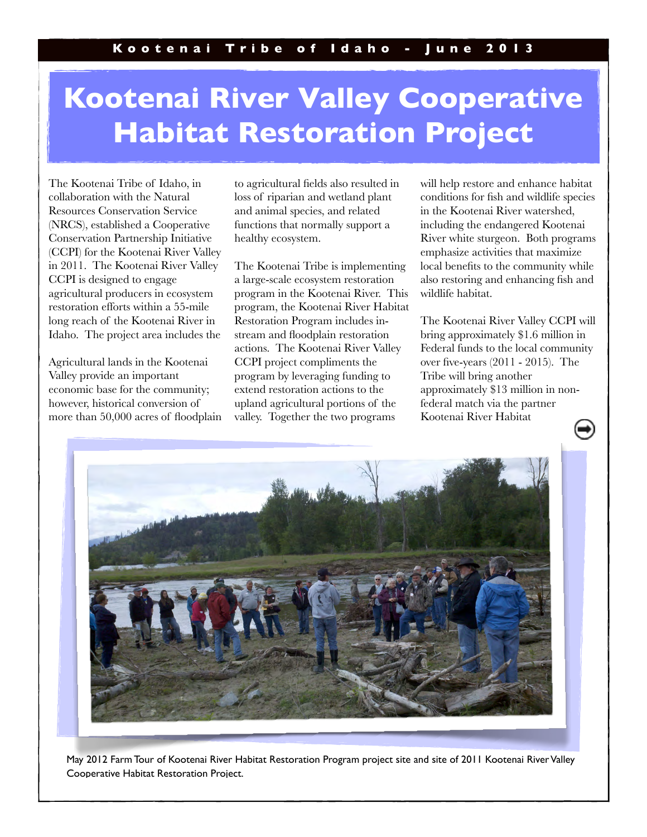## **Kootenai River Valley Cooperative Habitat Restoration Project**

The Kootenai Tribe of Idaho, in collaboration with the Natural Resources Conservation Service (NRCS), established a Cooperative Conservation Partnership Initiative (CCPI) for the Kootenai River Valley in 2011. The Kootenai River Valley CCPI is designed to engage agricultural producers in ecosystem restoration efforts within a 55-mile long reach of the Kootenai River in Idaho. The project area includes the

Agricultural lands in the Kootenai Valley provide an important economic base for the community; however, historical conversion of more than 50,000 acres of floodplain

to agricultural fields also resulted in loss of riparian and wetland plant and animal species, and related functions that normally support a healthy ecosystem.

The Kootenai Tribe is implementing a large-scale ecosystem restoration program in the Kootenai River. This program, the Kootenai River Habitat Restoration Program includes instream and floodplain restoration actions. The Kootenai River Valley CCPI project compliments the program by leveraging funding to extend restoration actions to the upland agricultural portions of the valley. Together the two programs

will help restore and enhance habitat conditions for fish and wildlife species in the Kootenai River watershed, including the endangered Kootenai River white sturgeon. Both programs emphasize activities that maximize local benefits to the community while also restoring and enhancing fish and wildlife habitat.

The Kootenai River Valley CCPI will bring approximately \$1.6 million in Federal funds to the local community over five-years (2011 - 2015). The Tribe will bring another approximately \$13 million in nonfederal match via the partner Kootenai River Habitat



May 2012 Farm Tour of Kootenai River Habitat Restoration Program project site and site of 2011 Kootenai River Valley Cooperative Habitat Restoration Project.